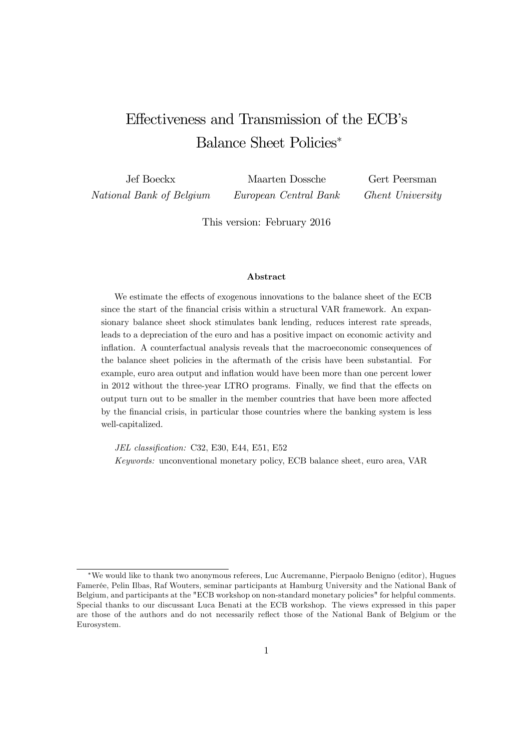# Effectiveness and Transmission of the ECB's Balance Sheet Policies<sup>∗</sup>

Jef Boeckx National Bank of Belgium Maarten Dossche European Central Bank Gert Peersman Ghent University

This version: February 2016

#### Abstract

We estimate the effects of exogenous innovations to the balance sheet of the ECB since the start of the financial crisis within a structural VAR framework. An expansionary balance sheet shock stimulates bank lending, reduces interest rate spreads, leads to a depreciation of the euro and has a positive impact on economic activity and inflation. A counterfactual analysis reveals that the macroeconomic consequences of the balance sheet policies in the aftermath of the crisis have been substantial. For example, euro area output and inflation would have been more than one percent lower in 2012 without the three-year LTRO programs. Finally, we find that the effects on output turn out to be smaller in the member countries that have been more affected by the financial crisis, in particular those countries where the banking system is less well-capitalized.

JEL classification: C32, E30, E44, E51, E52 Keywords: unconventional monetary policy, ECB balance sheet, euro area, VAR

<sup>∗</sup>We would like to thank two anonymous referees, Luc Aucremanne, Pierpaolo Benigno (editor), Hugues Famerée, Pelin Ilbas, Raf Wouters, seminar participants at Hamburg University and the National Bank of Belgium, and participants at the "ECB workshop on non-standard monetary policies" for helpful comments. Special thanks to our discussant Luca Benati at the ECB workshop. The views expressed in this paper are those of the authors and do not necessarily reflect those of the National Bank of Belgium or the Eurosystem.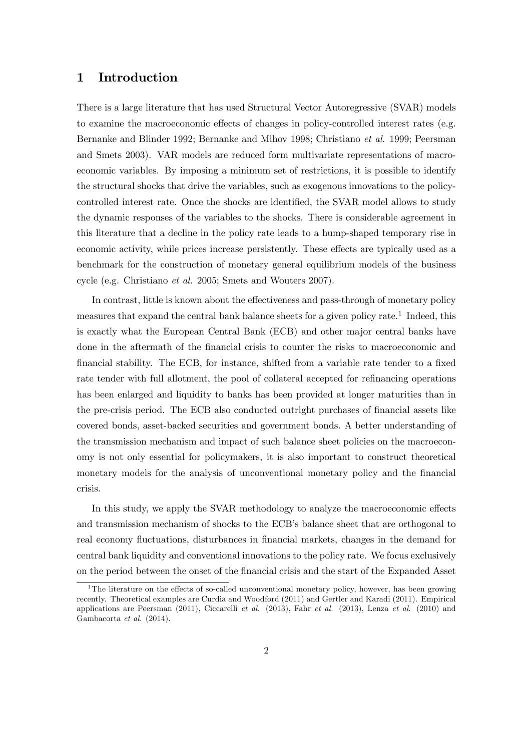## 1 Introduction

There is a large literature that has used Structural Vector Autoregressive (SVAR) models to examine the macroeconomic effects of changes in policy-controlled interest rates (e.g. Bernanke and Blinder 1992; Bernanke and Mihov 1998; Christiano et al. 1999; Peersman and Smets 2003). VAR models are reduced form multivariate representations of macroeconomic variables. By imposing a minimum set of restrictions, it is possible to identify the structural shocks that drive the variables, such as exogenous innovations to the policycontrolled interest rate. Once the shocks are identified, the SVAR model allows to study the dynamic responses of the variables to the shocks. There is considerable agreement in this literature that a decline in the policy rate leads to a hump-shaped temporary rise in economic activity, while prices increase persistently. These effects are typically used as a benchmark for the construction of monetary general equilibrium models of the business cycle (e.g. Christiano et al. 2005; Smets and Wouters 2007).

In contrast, little is known about the effectiveness and pass-through of monetary policy measures that expand the central bank balance sheets for a given policy rate.<sup>1</sup> Indeed, this is exactly what the European Central Bank (ECB) and other major central banks have done in the aftermath of the financial crisis to counter the risks to macroeconomic and financial stability. The ECB, for instance, shifted from a variable rate tender to a fixed rate tender with full allotment, the pool of collateral accepted for refinancing operations has been enlarged and liquidity to banks has been provided at longer maturities than in the pre-crisis period. The ECB also conducted outright purchases of financial assets like covered bonds, asset-backed securities and government bonds. A better understanding of the transmission mechanism and impact of such balance sheet policies on the macroeconomy is not only essential for policymakers, it is also important to construct theoretical monetary models for the analysis of unconventional monetary policy and the financial crisis.

In this study, we apply the SVAR methodology to analyze the macroeconomic effects and transmission mechanism of shocks to the ECB's balance sheet that are orthogonal to real economy fluctuations, disturbances in financial markets, changes in the demand for central bank liquidity and conventional innovations to the policy rate. We focus exclusively on the period between the onset of the financial crisis and the start of the Expanded Asset

<sup>&</sup>lt;sup>1</sup>The literature on the effects of so-called unconventional monetary policy, however, has been growing recently. Theoretical examples are Curdia and Woodford (2011) and Gertler and Karadi (2011). Empirical applications are Peersman  $(2011)$ , Ciccarelli et al.  $(2013)$ , Fahr et al.  $(2013)$ , Lenza et al.  $(2010)$  and Gambacorta et al. (2014).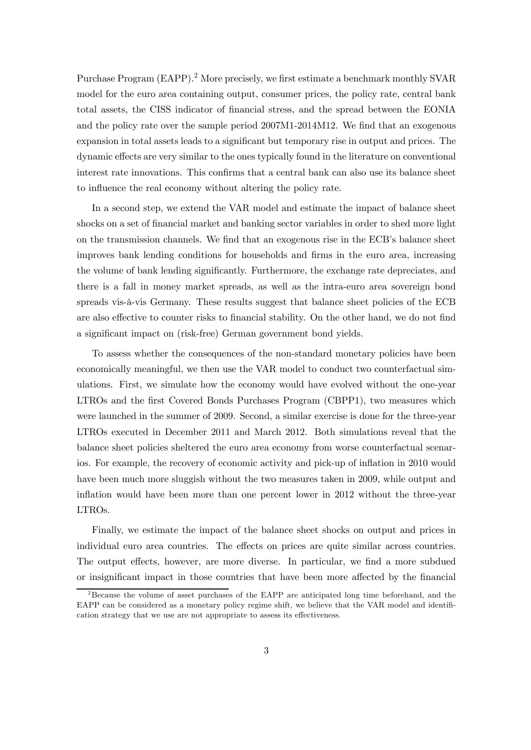Purchase Program (EAPP).<sup>2</sup> More precisely, we first estimate a benchmark monthly SVAR model for the euro area containing output, consumer prices, the policy rate, central bank total assets, the CISS indicator of financial stress, and the spread between the EONIA and the policy rate over the sample period 2007M1-2014M12. We find that an exogenous expansion in total assets leads to a significant but temporary rise in output and prices. The dynamic effects are very similar to the ones typically found in the literature on conventional interest rate innovations. This confirms that a central bank can also use its balance sheet to influence the real economy without altering the policy rate.

In a second step, we extend the VAR model and estimate the impact of balance sheet shocks on a set of financial market and banking sector variables in order to shed more light on the transmission channels. We find that an exogenous rise in the ECB's balance sheet improves bank lending conditions for households and firms in the euro area, increasing the volume of bank lending significantly. Furthermore, the exchange rate depreciates, and there is a fall in money market spreads, as well as the intra-euro area sovereign bond spreads vis-à-vis Germany. These results suggest that balance sheet policies of the ECB are also effective to counter risks to financial stability. On the other hand, we do not find a significant impact on (risk-free) German government bond yields.

To assess whether the consequences of the non-standard monetary policies have been economically meaningful, we then use the VAR model to conduct two counterfactual simulations. First, we simulate how the economy would have evolved without the one-year LTROs and the first Covered Bonds Purchases Program (CBPP1), two measures which were launched in the summer of 2009. Second, a similar exercise is done for the three-year LTROs executed in December 2011 and March 2012. Both simulations reveal that the balance sheet policies sheltered the euro area economy from worse counterfactual scenarios. For example, the recovery of economic activity and pick-up of inflation in 2010 would have been much more sluggish without the two measures taken in 2009, while output and inflation would have been more than one percent lower in 2012 without the three-year LTROs.

Finally, we estimate the impact of the balance sheet shocks on output and prices in individual euro area countries. The effects on prices are quite similar across countries. The output effects, however, are more diverse. In particular, we find a more subdued or insignificant impact in those countries that have been more affected by the financial

<sup>&</sup>lt;sup>2</sup> Because the volume of asset purchases of the EAPP are anticipated long time beforehand, and the EAPP can be considered as a monetary policy regime shift, we believe that the VAR model and identification strategy that we use are not appropriate to assess its effectiveness.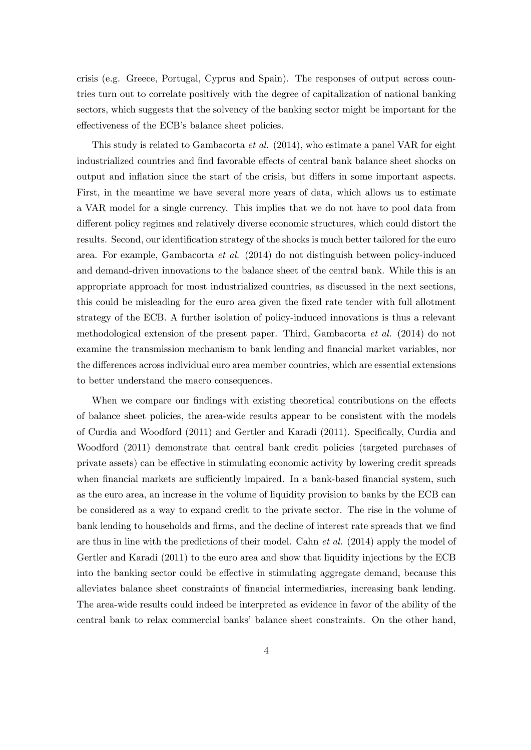crisis (e.g. Greece, Portugal, Cyprus and Spain). The responses of output across countries turn out to correlate positively with the degree of capitalization of national banking sectors, which suggests that the solvency of the banking sector might be important for the effectiveness of the ECB's balance sheet policies.

This study is related to Gambacorta et al. (2014), who estimate a panel VAR for eight industrialized countries and find favorable effects of central bank balance sheet shocks on output and inflation since the start of the crisis, but differs in some important aspects. First, in the meantime we have several more years of data, which allows us to estimate a VAR model for a single currency. This implies that we do not have to pool data from different policy regimes and relatively diverse economic structures, which could distort the results. Second, our identification strategy of the shocks is much better tailored for the euro area. For example, Gambacorta et al. (2014) do not distinguish between policy-induced and demand-driven innovations to the balance sheet of the central bank. While this is an appropriate approach for most industrialized countries, as discussed in the next sections, this could be misleading for the euro area given the fixed rate tender with full allotment strategy of the ECB. A further isolation of policy-induced innovations is thus a relevant methodological extension of the present paper. Third, Gambacorta et al. (2014) do not examine the transmission mechanism to bank lending and financial market variables, nor the differences across individual euro area member countries, which are essential extensions to better understand the macro consequences.

When we compare our findings with existing theoretical contributions on the effects of balance sheet policies, the area-wide results appear to be consistent with the models of Curdia and Woodford (2011) and Gertler and Karadi (2011). Specifically, Curdia and Woodford (2011) demonstrate that central bank credit policies (targeted purchases of private assets) can be effective in stimulating economic activity by lowering credit spreads when financial markets are sufficiently impaired. In a bank-based financial system, such as the euro area, an increase in the volume of liquidity provision to banks by the ECB can be considered as a way to expand credit to the private sector. The rise in the volume of bank lending to households and firms, and the decline of interest rate spreads that we find are thus in line with the predictions of their model. Cahn et al. (2014) apply the model of Gertler and Karadi (2011) to the euro area and show that liquidity injections by the ECB into the banking sector could be effective in stimulating aggregate demand, because this alleviates balance sheet constraints of financial intermediaries, increasing bank lending. The area-wide results could indeed be interpreted as evidence in favor of the ability of the central bank to relax commercial banks' balance sheet constraints. On the other hand,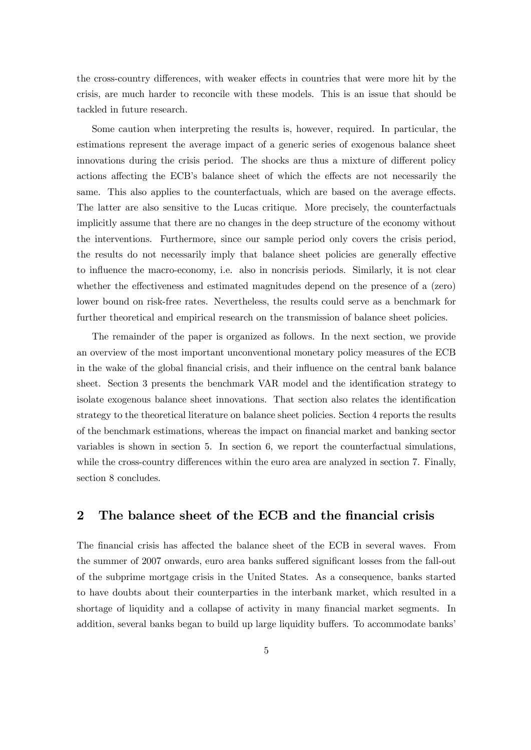the cross-country differences, with weaker effects in countries that were more hit by the crisis, are much harder to reconcile with these models. This is an issue that should be tackled in future research.

Some caution when interpreting the results is, however, required. In particular, the estimations represent the average impact of a generic series of exogenous balance sheet innovations during the crisis period. The shocks are thus a mixture of different policy actions affecting the ECB's balance sheet of which the effects are not necessarily the same. This also applies to the counterfactuals, which are based on the average effects. The latter are also sensitive to the Lucas critique. More precisely, the counterfactuals implicitly assume that there are no changes in the deep structure of the economy without the interventions. Furthermore, since our sample period only covers the crisis period, the results do not necessarily imply that balance sheet policies are generally effective to influence the macro-economy, i.e. also in noncrisis periods. Similarly, it is not clear whether the effectiveness and estimated magnitudes depend on the presence of a (zero) lower bound on risk-free rates. Nevertheless, the results could serve as a benchmark for further theoretical and empirical research on the transmission of balance sheet policies.

The remainder of the paper is organized as follows. In the next section, we provide an overview of the most important unconventional monetary policy measures of the ECB in the wake of the global financial crisis, and their influence on the central bank balance sheet. Section 3 presents the benchmark VAR model and the identification strategy to isolate exogenous balance sheet innovations. That section also relates the identification strategy to the theoretical literature on balance sheet policies. Section 4 reports the results of the benchmark estimations, whereas the impact on financial market and banking sector variables is shown in section 5. In section 6, we report the counterfactual simulations, while the cross-country differences within the euro area are analyzed in section 7. Finally, section 8 concludes.

## 2 The balance sheet of the ECB and the financial crisis

The financial crisis has affected the balance sheet of the ECB in several waves. From the summer of 2007 onwards, euro area banks suffered significant losses from the fall-out of the subprime mortgage crisis in the United States. As a consequence, banks started to have doubts about their counterparties in the interbank market, which resulted in a shortage of liquidity and a collapse of activity in many financial market segments. In addition, several banks began to build up large liquidity buffers. To accommodate banks'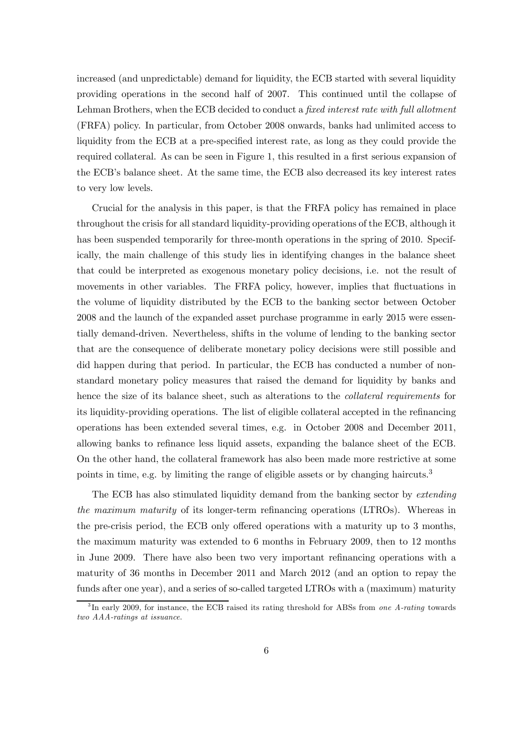increased (and unpredictable) demand for liquidity, the ECB started with several liquidity providing operations in the second half of 2007. This continued until the collapse of Lehman Brothers, when the ECB decided to conduct a fixed interest rate with full allotment (FRFA) policy. In particular, from October 2008 onwards, banks had unlimited access to liquidity from the ECB at a pre-specified interest rate, as long as they could provide the required collateral. As can be seen in Figure 1, this resulted in a first serious expansion of the ECB's balance sheet. At the same time, the ECB also decreased its key interest rates to very low levels.

Crucial for the analysis in this paper, is that the FRFA policy has remained in place throughout the crisis for all standard liquidity-providing operations of the ECB, although it has been suspended temporarily for three-month operations in the spring of 2010. Specifically, the main challenge of this study lies in identifying changes in the balance sheet that could be interpreted as exogenous monetary policy decisions, i.e. not the result of movements in other variables. The FRFA policy, however, implies that fluctuations in the volume of liquidity distributed by the ECB to the banking sector between October 2008 and the launch of the expanded asset purchase programme in early 2015 were essentially demand-driven. Nevertheless, shifts in the volume of lending to the banking sector that are the consequence of deliberate monetary policy decisions were still possible and did happen during that period. In particular, the ECB has conducted a number of nonstandard monetary policy measures that raised the demand for liquidity by banks and hence the size of its balance sheet, such as alterations to the *collateral requirements* for its liquidity-providing operations. The list of eligible collateral accepted in the refinancing operations has been extended several times, e.g. in October 2008 and December 2011, allowing banks to refinance less liquid assets, expanding the balance sheet of the ECB. On the other hand, the collateral framework has also been made more restrictive at some points in time, e.g. by limiting the range of eligible assets or by changing haircuts.<sup>3</sup>

The ECB has also stimulated liquidity demand from the banking sector by *extending* the maximum maturity of its longer-term refinancing operations (LTROs). Whereas in the pre-crisis period, the ECB only offered operations with a maturity up to 3 months, the maximum maturity was extended to 6 months in February 2009, then to 12 months in June 2009. There have also been two very important refinancing operations with a maturity of 36 months in December 2011 and March 2012 (and an option to repay the funds after one year), and a series of so-called targeted LTROs with a (maximum) maturity

 $3\text{In early }2009$ , for instance, the ECB raised its rating threshold for ABSs from one A-rating towards two AAA-ratings at issuance.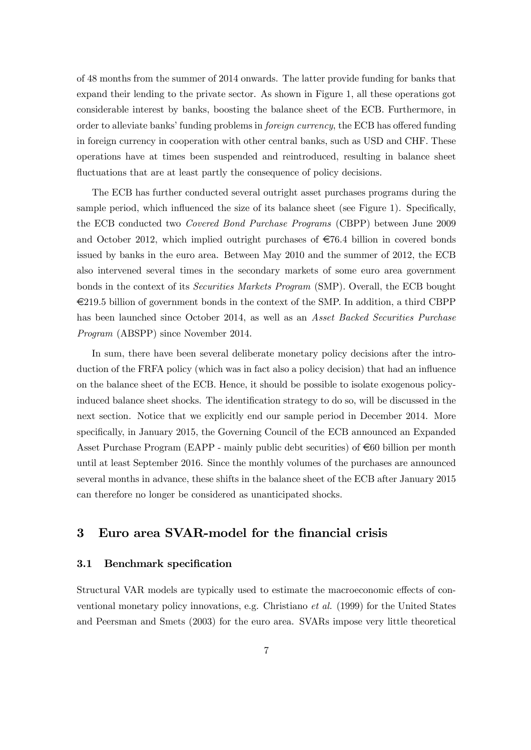of 48 months from the summer of 2014 onwards. The latter provide funding for banks that expand their lending to the private sector. As shown in Figure 1, all these operations got considerable interest by banks, boosting the balance sheet of the ECB. Furthermore, in order to alleviate banks' funding problems in foreign currency, the ECB has offered funding in foreign currency in cooperation with other central banks, such as USD and CHF. These operations have at times been suspended and reintroduced, resulting in balance sheet fluctuations that are at least partly the consequence of policy decisions.

The ECB has further conducted several outright asset purchases programs during the sample period, which influenced the size of its balance sheet (see Figure 1). Specifically, the ECB conducted two Covered Bond Purchase Programs (CBPP) between June 2009 and October 2012, which implied outright purchases of  $\epsilon$ 76.4 billion in covered bonds issued by banks in the euro area. Between May 2010 and the summer of 2012, the ECB also intervened several times in the secondary markets of some euro area government bonds in the context of its Securities Markets Program (SMP). Overall, the ECB bought  $\epsilon$ 219.5 billion of government bonds in the context of the SMP. In addition, a third CBPP has been launched since October 2014, as well as an Asset Backed Securities Purchase Program (ABSPP) since November 2014.

In sum, there have been several deliberate monetary policy decisions after the introduction of the FRFA policy (which was in fact also a policy decision) that had an influence on the balance sheet of the ECB. Hence, it should be possible to isolate exogenous policyinduced balance sheet shocks. The identification strategy to do so, will be discussed in the next section. Notice that we explicitly end our sample period in December 2014. More specifically, in January 2015, the Governing Council of the ECB announced an Expanded Asset Purchase Program (EAPP - mainly public debt securities) of  $\epsilon$ 60 billion per month until at least September 2016. Since the monthly volumes of the purchases are announced several months in advance, these shifts in the balance sheet of the ECB after January 2015 can therefore no longer be considered as unanticipated shocks.

# 3 Euro area SVAR-model for the financial crisis

#### 3.1 Benchmark specification

Structural VAR models are typically used to estimate the macroeconomic effects of conventional monetary policy innovations, e.g. Christiano et al. (1999) for the United States and Peersman and Smets (2003) for the euro area. SVARs impose very little theoretical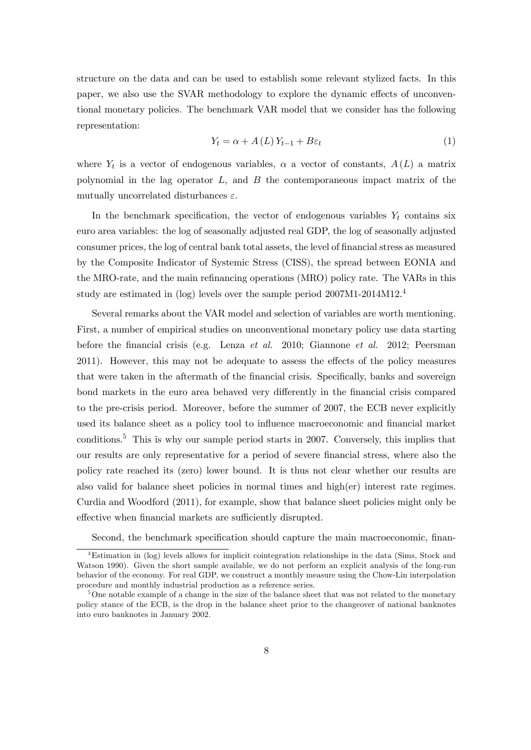structure on the data and can be used to establish some relevant stylized facts. In this paper, we also use the SVAR methodology to explore the dynamic effects of unconventional monetary policies. The benchmark VAR model that we consider has the following representation:

$$
Y_t = \alpha + A(L)Y_{t-1} + B\varepsilon_t
$$
\n<sup>(1)</sup>

where  $Y_t$  is a vector of endogenous variables,  $\alpha$  a vector of constants,  $A(L)$  a matrix polynomial in the lag operator  $L$ , and  $B$  the contemporaneous impact matrix of the mutually uncorrelated disturbances  $\varepsilon$ .

In the benchmark specification, the vector of endogenous variables  $Y_t$  contains six euro area variables: the log of seasonally adjusted real GDP, the log of seasonally adjusted consumer prices, the log of central bank total assets, the level of financial stress as measured by the Composite Indicator of Systemic Stress (CISS), the spread between EONIA and the MRO-rate, and the main refinancing operations (MRO) policy rate. The VARs in this study are estimated in (log) levels over the sample period 2007M1-2014M12.4

Several remarks about the VAR model and selection of variables are worth mentioning. First, a number of empirical studies on unconventional monetary policy use data starting before the financial crisis (e.g. Lenza et al. 2010; Giannone et al. 2012; Peersman 2011). However, this may not be adequate to assess the effects of the policy measures that were taken in the aftermath of the financial crisis. Specifically, banks and sovereign bond markets in the euro area behaved very differently in the financial crisis compared to the pre-crisis period. Moreover, before the summer of 2007, the ECB never explicitly used its balance sheet as a policy tool to influence macroeconomic and financial market conditions.5 This is why our sample period starts in 2007. Conversely, this implies that our results are only representative for a period of severe financial stress, where also the policy rate reached its (zero) lower bound. It is thus not clear whether our results are also valid for balance sheet policies in normal times and high(er) interest rate regimes. Curdia and Woodford (2011), for example, show that balance sheet policies might only be effective when financial markets are sufficiently disrupted.

Second, the benchmark specification should capture the main macroeconomic, finan-

 $^{4}$ Estimation in (log) levels allows for implicit cointegration relationships in the data (Sims, Stock and Watson 1990). Given the short sample available, we do not perform an explicit analysis of the long-run behavior of the economy. For real GDP, we construct a monthly measure using the Chow-Lin interpolation procedure and monthly industrial production as a reference series.

<sup>&</sup>lt;sup>5</sup>One notable example of a change in the size of the balance sheet that was not related to the monetary policy stance of the ECB, is the drop in the balance sheet prior to the changeover of national banknotes into euro banknotes in January 2002.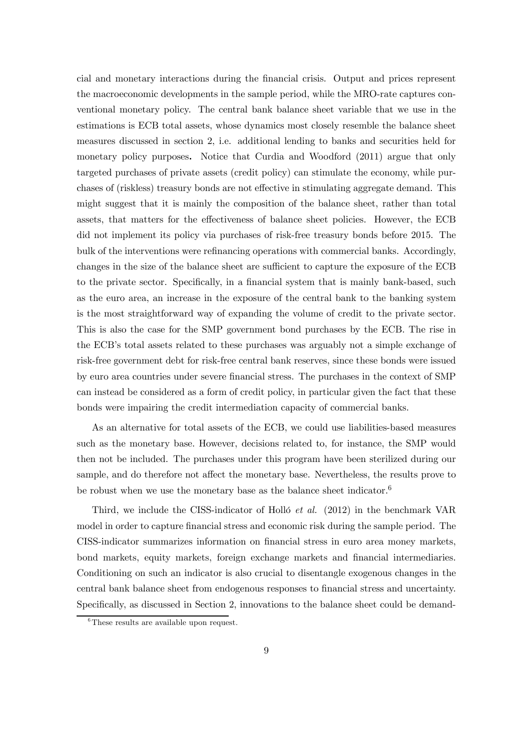cial and monetary interactions during the financial crisis. Output and prices represent the macroeconomic developments in the sample period, while the MRO-rate captures conventional monetary policy. The central bank balance sheet variable that we use in the estimations is ECB total assets, whose dynamics most closely resemble the balance sheet measures discussed in section 2, i.e. additional lending to banks and securities held for monetary policy purposes. Notice that Curdia and Woodford (2011) argue that only targeted purchases of private assets (credit policy) can stimulate the economy, while purchases of (riskless) treasury bonds are not effective in stimulating aggregate demand. This might suggest that it is mainly the composition of the balance sheet, rather than total assets, that matters for the effectiveness of balance sheet policies. However, the ECB did not implement its policy via purchases of risk-free treasury bonds before 2015. The bulk of the interventions were refinancing operations with commercial banks. Accordingly, changes in the size of the balance sheet are sufficient to capture the exposure of the ECB to the private sector. Specifically, in a financial system that is mainly bank-based, such as the euro area, an increase in the exposure of the central bank to the banking system is the most straightforward way of expanding the volume of credit to the private sector. This is also the case for the SMP government bond purchases by the ECB. The rise in the ECB's total assets related to these purchases was arguably not a simple exchange of risk-free government debt for risk-free central bank reserves, since these bonds were issued by euro area countries under severe financial stress. The purchases in the context of SMP can instead be considered as a form of credit policy, in particular given the fact that these bonds were impairing the credit intermediation capacity of commercial banks.

As an alternative for total assets of the ECB, we could use liabilities-based measures such as the monetary base. However, decisions related to, for instance, the SMP would then not be included. The purchases under this program have been sterilized during our sample, and do therefore not affect the monetary base. Nevertheless, the results prove to be robust when we use the monetary base as the balance sheet indicator.<sup>6</sup>

Third, we include the CISS-indicator of Holló et al. (2012) in the benchmark VAR model in order to capture financial stress and economic risk during the sample period. The CISS-indicator summarizes information on financial stress in euro area money markets, bond markets, equity markets, foreign exchange markets and financial intermediaries. Conditioning on such an indicator is also crucial to disentangle exogenous changes in the central bank balance sheet from endogenous responses to financial stress and uncertainty. Specifically, as discussed in Section 2, innovations to the balance sheet could be demand-

 ${}^{6}$ These results are available upon request.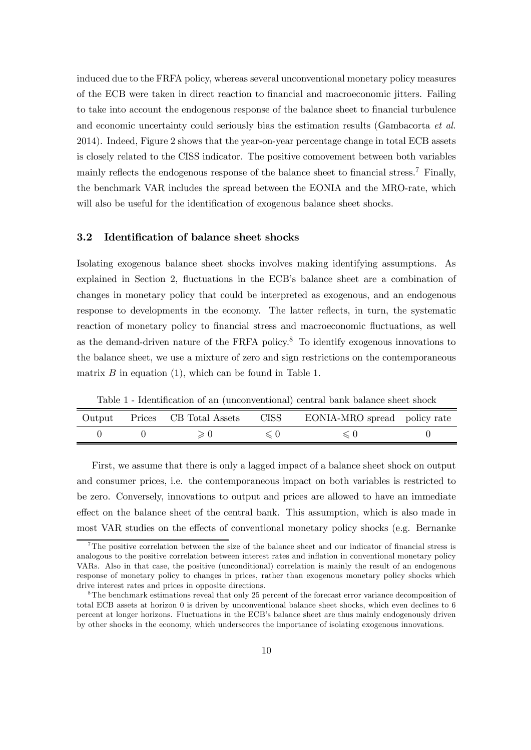induced due to the FRFA policy, whereas several unconventional monetary policy measures of the ECB were taken in direct reaction to financial and macroeconomic jitters. Failing to take into account the endogenous response of the balance sheet to financial turbulence and economic uncertainty could seriously bias the estimation results (Gambacorta et al. 2014). Indeed, Figure 2 shows that the year-on-year percentage change in total ECB assets is closely related to the CISS indicator. The positive comovement between both variables mainly reflects the endogenous response of the balance sheet to financial stress.<sup>7</sup> Finally, the benchmark VAR includes the spread between the EONIA and the MRO-rate, which will also be useful for the identification of exogenous balance sheet shocks.

#### 3.2 Identification of balance sheet shocks

Isolating exogenous balance sheet shocks involves making identifying assumptions. As explained in Section 2, fluctuations in the ECB's balance sheet are a combination of changes in monetary policy that could be interpreted as exogenous, and an endogenous response to developments in the economy. The latter reflects, in turn, the systematic reaction of monetary policy to financial stress and macroeconomic fluctuations, as well as the demand-driven nature of the FRFA policy.8 To identify exogenous innovations to the balance sheet, we use a mixture of zero and sign restrictions on the contemporaneous matrix  $B$  in equation (1), which can be found in Table 1.

Table 1 - Identification of an (unconventional) central bank balance sheet shock

|  | Output Prices CB Total Assets | CISS | EONIA-MRO spread policy rate |  |
|--|-------------------------------|------|------------------------------|--|
|  |                               |      |                              |  |

First, we assume that there is only a lagged impact of a balance sheet shock on output and consumer prices, i.e. the contemporaneous impact on both variables is restricted to be zero. Conversely, innovations to output and prices are allowed to have an immediate effect on the balance sheet of the central bank. This assumption, which is also made in most VAR studies on the effects of conventional monetary policy shocks (e.g. Bernanke

<sup>&</sup>lt;sup>7</sup>The positive correlation between the size of the balance sheet and our indicator of financial stress is analogous to the positive correlation between interest rates and inflation in conventional monetary policy VARs. Also in that case, the positive (unconditional) correlation is mainly the result of an endogenous response of monetary policy to changes in prices, rather than exogenous monetary policy shocks which drive interest rates and prices in opposite directions.

<sup>&</sup>lt;sup>8</sup>The benchmark estimations reveal that only 25 percent of the forecast error variance decomposition of total ECB assets at horizon 0 is driven by unconventional balance sheet shocks, which even declines to 6 percent at longer horizons. Fluctuations in the ECB's balance sheet are thus mainly endogenously driven by other shocks in the economy, which underscores the importance of isolating exogenous innovations.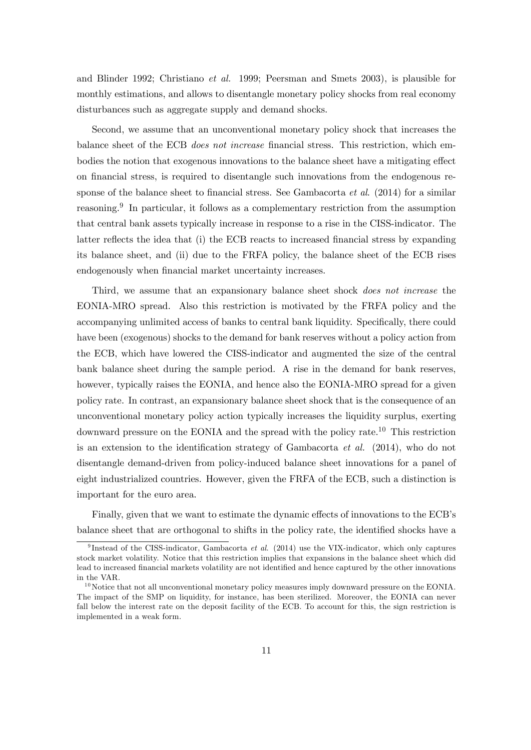and Blinder 1992; Christiano et al. 1999; Peersman and Smets 2003), is plausible for monthly estimations, and allows to disentangle monetary policy shocks from real economy disturbances such as aggregate supply and demand shocks.

Second, we assume that an unconventional monetary policy shock that increases the balance sheet of the ECB does not increase financial stress. This restriction, which embodies the notion that exogenous innovations to the balance sheet have a mitigating effect on financial stress, is required to disentangle such innovations from the endogenous response of the balance sheet to financial stress. See Gambacorta *et al.* (2014) for a similar reasoning.<sup>9</sup> In particular, it follows as a complementary restriction from the assumption that central bank assets typically increase in response to a rise in the CISS-indicator. The latter reflects the idea that (i) the ECB reacts to increased financial stress by expanding its balance sheet, and (ii) due to the FRFA policy, the balance sheet of the ECB rises endogenously when financial market uncertainty increases.

Third, we assume that an expansionary balance sheet shock does not increase the EONIA-MRO spread. Also this restriction is motivated by the FRFA policy and the accompanying unlimited access of banks to central bank liquidity. Specifically, there could have been (exogenous) shocks to the demand for bank reserves without a policy action from the ECB, which have lowered the CISS-indicator and augmented the size of the central bank balance sheet during the sample period. A rise in the demand for bank reserves, however, typically raises the EONIA, and hence also the EONIA-MRO spread for a given policy rate. In contrast, an expansionary balance sheet shock that is the consequence of an unconventional monetary policy action typically increases the liquidity surplus, exerting downward pressure on the EONIA and the spread with the policy rate.10 This restriction is an extension to the identification strategy of Gambacorta et al. (2014), who do not disentangle demand-driven from policy-induced balance sheet innovations for a panel of eight industrialized countries. However, given the FRFA of the ECB, such a distinction is important for the euro area.

Finally, given that we want to estimate the dynamic effects of innovations to the ECB's balance sheet that are orthogonal to shifts in the policy rate, the identified shocks have a

<sup>&</sup>lt;sup>9</sup> Instead of the CISS-indicator, Gambacorta *et al.* (2014) use the VIX-indicator, which only captures stock market volatility. Notice that this restriction implies that expansions in the balance sheet which did lead to increased financial markets volatility are not identified and hence captured by the other innovations in the VAR.

 $10$  Notice that not all unconventional monetary policy measures imply downward pressure on the EONIA. The impact of the SMP on liquidity, for instance, has been sterilized. Moreover, the EONIA can never fall below the interest rate on the deposit facility of the ECB. To account for this, the sign restriction is implemented in a weak form.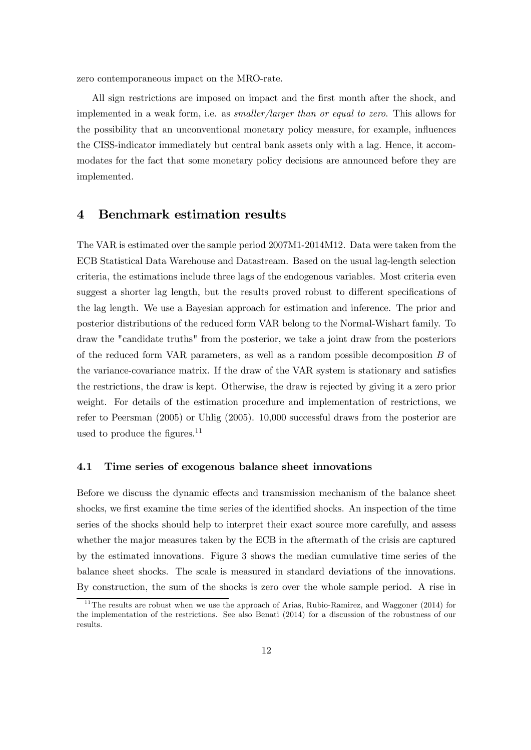zero contemporaneous impact on the MRO-rate.

All sign restrictions are imposed on impact and the first month after the shock, and implemented in a weak form, i.e. as smaller/larger than or equal to zero. This allows for the possibility that an unconventional monetary policy measure, for example, influences the CISS-indicator immediately but central bank assets only with a lag. Hence, it accommodates for the fact that some monetary policy decisions are announced before they are implemented.

## 4 Benchmark estimation results

The VAR is estimated over the sample period 2007M1-2014M12. Data were taken from the ECB Statistical Data Warehouse and Datastream. Based on the usual lag-length selection criteria, the estimations include three lags of the endogenous variables. Most criteria even suggest a shorter lag length, but the results proved robust to different specifications of the lag length. We use a Bayesian approach for estimation and inference. The prior and posterior distributions of the reduced form VAR belong to the Normal-Wishart family. To draw the "candidate truths" from the posterior, we take a joint draw from the posteriors of the reduced form VAR parameters, as well as a random possible decomposition B of the variance-covariance matrix. If the draw of the VAR system is stationary and satisfies the restrictions, the draw is kept. Otherwise, the draw is rejected by giving it a zero prior weight. For details of the estimation procedure and implementation of restrictions, we refer to Peersman (2005) or Uhlig (2005). 10,000 successful draws from the posterior are used to produce the figures.<sup>11</sup>

#### 4.1 Time series of exogenous balance sheet innovations

Before we discuss the dynamic effects and transmission mechanism of the balance sheet shocks, we first examine the time series of the identified shocks. An inspection of the time series of the shocks should help to interpret their exact source more carefully, and assess whether the major measures taken by the ECB in the aftermath of the crisis are captured by the estimated innovations. Figure 3 shows the median cumulative time series of the balance sheet shocks. The scale is measured in standard deviations of the innovations. By construction, the sum of the shocks is zero over the whole sample period. A rise in

 $11$ <sup>11</sup> The results are robust when we use the approach of Arias, Rubio-Ramirez, and Waggoner (2014) for the implementation of the restrictions. See also Benati (2014) for a discussion of the robustness of our results.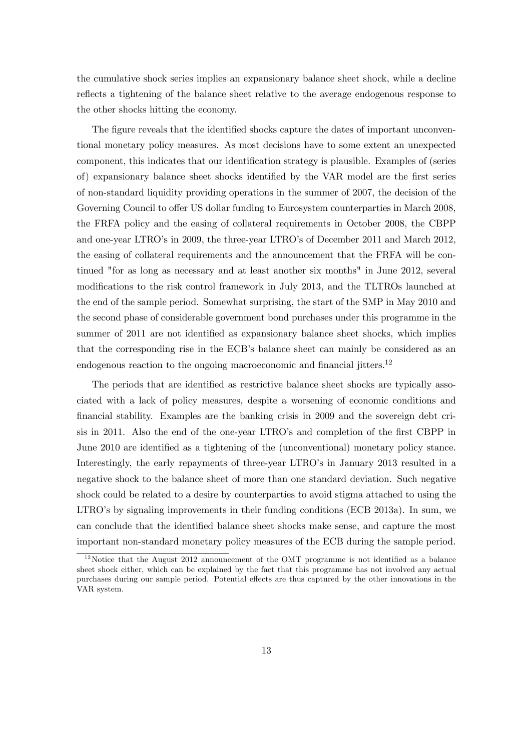the cumulative shock series implies an expansionary balance sheet shock, while a decline reflects a tightening of the balance sheet relative to the average endogenous response to the other shocks hitting the economy.

The figure reveals that the identified shocks capture the dates of important unconventional monetary policy measures. As most decisions have to some extent an unexpected component, this indicates that our identification strategy is plausible. Examples of (series of) expansionary balance sheet shocks identified by the VAR model are the first series of non-standard liquidity providing operations in the summer of 2007, the decision of the Governing Council to offer US dollar funding to Eurosystem counterparties in March 2008, the FRFA policy and the easing of collateral requirements in October 2008, the CBPP and one-year LTRO's in 2009, the three-year LTRO's of December 2011 and March 2012, the easing of collateral requirements and the announcement that the FRFA will be continued "for as long as necessary and at least another six months" in June 2012, several modifications to the risk control framework in July 2013, and the TLTROs launched at the end of the sample period. Somewhat surprising, the start of the SMP in May 2010 and the second phase of considerable government bond purchases under this programme in the summer of 2011 are not identified as expansionary balance sheet shocks, which implies that the corresponding rise in the ECB's balance sheet can mainly be considered as an endogenous reaction to the ongoing macroeconomic and financial jitters.<sup>12</sup>

The periods that are identified as restrictive balance sheet shocks are typically associated with a lack of policy measures, despite a worsening of economic conditions and financial stability. Examples are the banking crisis in 2009 and the sovereign debt crisis in 2011. Also the end of the one-year LTRO's and completion of the first CBPP in June 2010 are identified as a tightening of the (unconventional) monetary policy stance. Interestingly, the early repayments of three-year LTRO's in January 2013 resulted in a negative shock to the balance sheet of more than one standard deviation. Such negative shock could be related to a desire by counterparties to avoid stigma attached to using the LTRO's by signaling improvements in their funding conditions (ECB 2013a). In sum, we can conclude that the identified balance sheet shocks make sense, and capture the most important non-standard monetary policy measures of the ECB during the sample period.

 $12$ Notice that the August 2012 announcement of the OMT programme is not identified as a balance sheet shock either, which can be explained by the fact that this programme has not involved any actual purchases during our sample period. Potential effects are thus captured by the other innovations in the VAR system.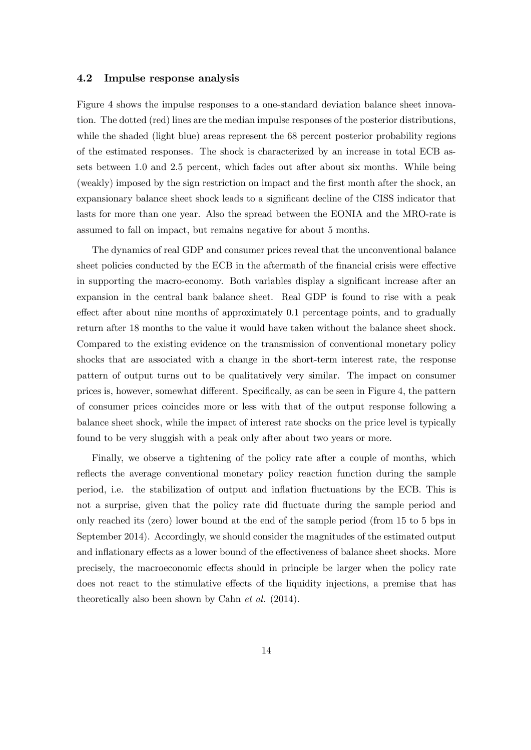#### 4.2 Impulse response analysis

Figure 4 shows the impulse responses to a one-standard deviation balance sheet innovation. The dotted (red) lines are the median impulse responses of the posterior distributions, while the shaded (light blue) areas represent the 68 percent posterior probability regions of the estimated responses. The shock is characterized by an increase in total ECB assets between 1.0 and 2.5 percent, which fades out after about six months. While being (weakly) imposed by the sign restriction on impact and the first month after the shock, an expansionary balance sheet shock leads to a significant decline of the CISS indicator that lasts for more than one year. Also the spread between the EONIA and the MRO-rate is assumed to fall on impact, but remains negative for about 5 months.

The dynamics of real GDP and consumer prices reveal that the unconventional balance sheet policies conducted by the ECB in the aftermath of the financial crisis were effective in supporting the macro-economy. Both variables display a significant increase after an expansion in the central bank balance sheet. Real GDP is found to rise with a peak effect after about nine months of approximately 0.1 percentage points, and to gradually return after 18 months to the value it would have taken without the balance sheet shock. Compared to the existing evidence on the transmission of conventional monetary policy shocks that are associated with a change in the short-term interest rate, the response pattern of output turns out to be qualitatively very similar. The impact on consumer prices is, however, somewhat different. Specifically, as can be seen in Figure 4, the pattern of consumer prices coincides more or less with that of the output response following a balance sheet shock, while the impact of interest rate shocks on the price level is typically found to be very sluggish with a peak only after about two years or more.

Finally, we observe a tightening of the policy rate after a couple of months, which reflects the average conventional monetary policy reaction function during the sample period, i.e. the stabilization of output and inflation fluctuations by the ECB. This is not a surprise, given that the policy rate did fluctuate during the sample period and only reached its (zero) lower bound at the end of the sample period (from 15 to 5 bps in September 2014). Accordingly, we should consider the magnitudes of the estimated output and inflationary effects as a lower bound of the effectiveness of balance sheet shocks. More precisely, the macroeconomic effects should in principle be larger when the policy rate does not react to the stimulative effects of the liquidity injections, a premise that has theoretically also been shown by Cahn et al. (2014).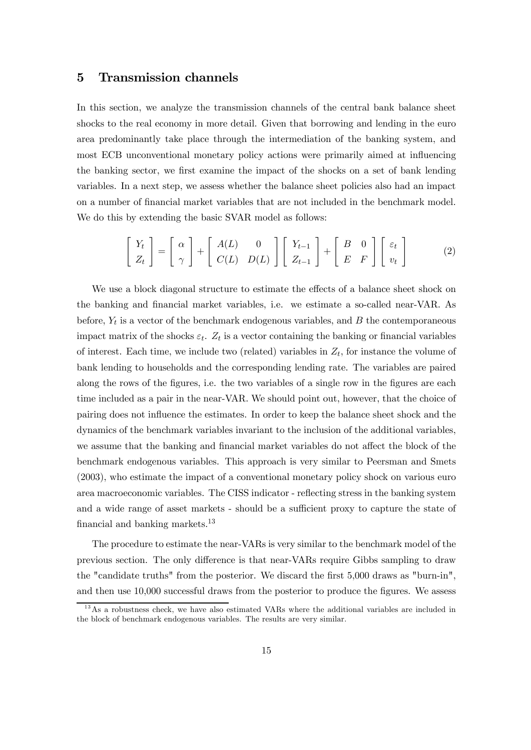## 5 Transmission channels

In this section, we analyze the transmission channels of the central bank balance sheet shocks to the real economy in more detail. Given that borrowing and lending in the euro area predominantly take place through the intermediation of the banking system, and most ECB unconventional monetary policy actions were primarily aimed at influencing the banking sector, we first examine the impact of the shocks on a set of bank lending variables. In a next step, we assess whether the balance sheet policies also had an impact on a number of financial market variables that are not included in the benchmark model. We do this by extending the basic SVAR model as follows:

$$
\left[\begin{array}{c} Y_t \\ Z_t \end{array}\right] = \left[\begin{array}{c} \alpha \\ \gamma \end{array}\right] + \left[\begin{array}{cc} A(L) & 0 \\ C(L) & D(L) \end{array}\right] \left[\begin{array}{cc} Y_{t-1} \\ Z_{t-1} \end{array}\right] + \left[\begin{array}{cc} B & 0 \\ E & F \end{array}\right] \left[\begin{array}{c} \varepsilon_t \\ v_t \end{array}\right] \tag{2}
$$

We use a block diagonal structure to estimate the effects of a balance sheet shock on the banking and financial market variables, i.e. we estimate a so-called near-VAR. As before,  $Y_t$  is a vector of the benchmark endogenous variables, and  $B$  the contemporaneous impact matrix of the shocks  $\varepsilon_t$ .  $Z_t$  is a vector containing the banking or financial variables of interest. Each time, we include two (related) variables in  $Z_t$ , for instance the volume of bank lending to households and the corresponding lending rate. The variables are paired along the rows of the figures, i.e. the two variables of a single row in the figures are each time included as a pair in the near-VAR. We should point out, however, that the choice of pairing does not influence the estimates. In order to keep the balance sheet shock and the dynamics of the benchmark variables invariant to the inclusion of the additional variables, we assume that the banking and financial market variables do not affect the block of the benchmark endogenous variables. This approach is very similar to Peersman and Smets (2003), who estimate the impact of a conventional monetary policy shock on various euro area macroeconomic variables. The CISS indicator - reflecting stress in the banking system and a wide range of asset markets - should be a sufficient proxy to capture the state of financial and banking markets.<sup>13</sup>

The procedure to estimate the near-VARs is very similar to the benchmark model of the previous section. The only difference is that near-VARs require Gibbs sampling to draw the "candidate truths" from the posterior. We discard the first 5,000 draws as "burn-in", and then use 10,000 successful draws from the posterior to produce the figures. We assess

<sup>&</sup>lt;sup>13</sup>As a robustness check, we have also estimated VARs where the additional variables are included in the block of benchmark endogenous variables. The results are very similar.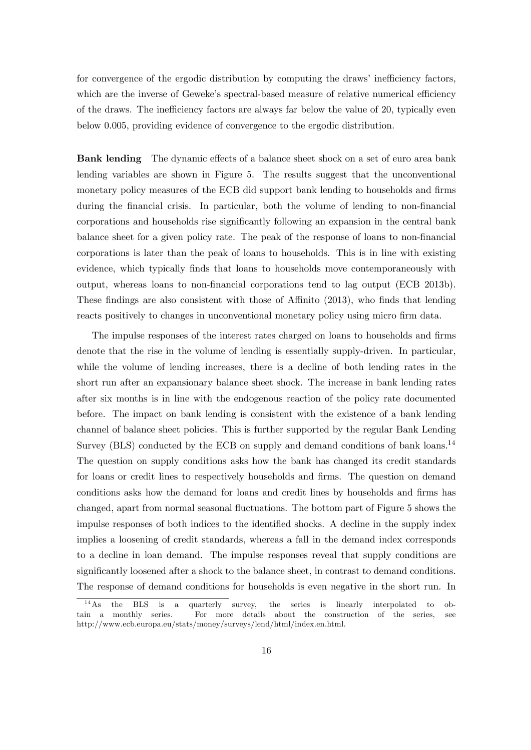for convergence of the ergodic distribution by computing the draws' inefficiency factors, which are the inverse of Geweke's spectral-based measure of relative numerical efficiency of the draws. The inefficiency factors are always far below the value of 20, typically even below 0.005, providing evidence of convergence to the ergodic distribution.

Bank lending The dynamic effects of a balance sheet shock on a set of euro area bank lending variables are shown in Figure 5. The results suggest that the unconventional monetary policy measures of the ECB did support bank lending to households and firms during the financial crisis. In particular, both the volume of lending to non-financial corporations and households rise significantly following an expansion in the central bank balance sheet for a given policy rate. The peak of the response of loans to non-financial corporations is later than the peak of loans to households. This is in line with existing evidence, which typically finds that loans to households move contemporaneously with output, whereas loans to non-financial corporations tend to lag output (ECB 2013b). These findings are also consistent with those of Affinito (2013), who finds that lending reacts positively to changes in unconventional monetary policy using micro firm data.

The impulse responses of the interest rates charged on loans to households and firms denote that the rise in the volume of lending is essentially supply-driven. In particular, while the volume of lending increases, there is a decline of both lending rates in the short run after an expansionary balance sheet shock. The increase in bank lending rates after six months is in line with the endogenous reaction of the policy rate documented before. The impact on bank lending is consistent with the existence of a bank lending channel of balance sheet policies. This is further supported by the regular Bank Lending Survey (BLS) conducted by the ECB on supply and demand conditions of bank loans.<sup>14</sup> The question on supply conditions asks how the bank has changed its credit standards for loans or credit lines to respectively households and firms. The question on demand conditions asks how the demand for loans and credit lines by households and firms has changed, apart from normal seasonal fluctuations. The bottom part of Figure 5 shows the impulse responses of both indices to the identified shocks. A decline in the supply index implies a loosening of credit standards, whereas a fall in the demand index corresponds to a decline in loan demand. The impulse responses reveal that supply conditions are significantly loosened after a shock to the balance sheet, in contrast to demand conditions. The response of demand conditions for households is even negative in the short run. In

<sup>&</sup>lt;sup>14</sup>As the BLS is a quarterly survey, the series is linearly interpolated to obtain a monthly series. For more details about the construction of the series, see http://www.ecb.europa.eu/stats/money/surveys/lend/html/index.en.html.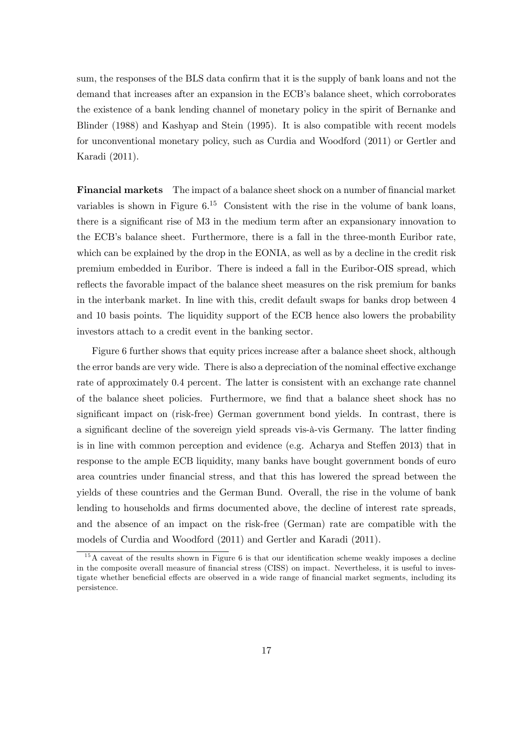sum, the responses of the BLS data confirm that it is the supply of bank loans and not the demand that increases after an expansion in the ECB's balance sheet, which corroborates the existence of a bank lending channel of monetary policy in the spirit of Bernanke and Blinder (1988) and Kashyap and Stein (1995). It is also compatible with recent models for unconventional monetary policy, such as Curdia and Woodford (2011) or Gertler and Karadi (2011).

Financial markets The impact of a balance sheet shock on a number of financial market variables is shown in Figure  $6^{15}$  Consistent with the rise in the volume of bank loans, there is a significant rise of M3 in the medium term after an expansionary innovation to the ECB's balance sheet. Furthermore, there is a fall in the three-month Euribor rate, which can be explained by the drop in the EONIA, as well as by a decline in the credit risk premium embedded in Euribor. There is indeed a fall in the Euribor-OIS spread, which reflects the favorable impact of the balance sheet measures on the risk premium for banks in the interbank market. In line with this, credit default swaps for banks drop between 4 and 10 basis points. The liquidity support of the ECB hence also lowers the probability investors attach to a credit event in the banking sector.

Figure 6 further shows that equity prices increase after a balance sheet shock, although the error bands are very wide. There is also a depreciation of the nominal effective exchange rate of approximately 0.4 percent. The latter is consistent with an exchange rate channel of the balance sheet policies. Furthermore, we find that a balance sheet shock has no significant impact on (risk-free) German government bond yields. In contrast, there is a significant decline of the sovereign yield spreads vis-à-vis Germany. The latter finding is in line with common perception and evidence (e.g. Acharya and Steffen 2013) that in response to the ample ECB liquidity, many banks have bought government bonds of euro area countries under financial stress, and that this has lowered the spread between the yields of these countries and the German Bund. Overall, the rise in the volume of bank lending to households and firms documented above, the decline of interest rate spreads, and the absence of an impact on the risk-free (German) rate are compatible with the models of Curdia and Woodford (2011) and Gertler and Karadi (2011).

 $15$ A caveat of the results shown in Figure 6 is that our identification scheme weakly imposes a decline in the composite overall measure of financial stress (CISS) on impact. Nevertheless, it is useful to investigate whether beneficial effects are observed in a wide range of financial market segments, including its persistence.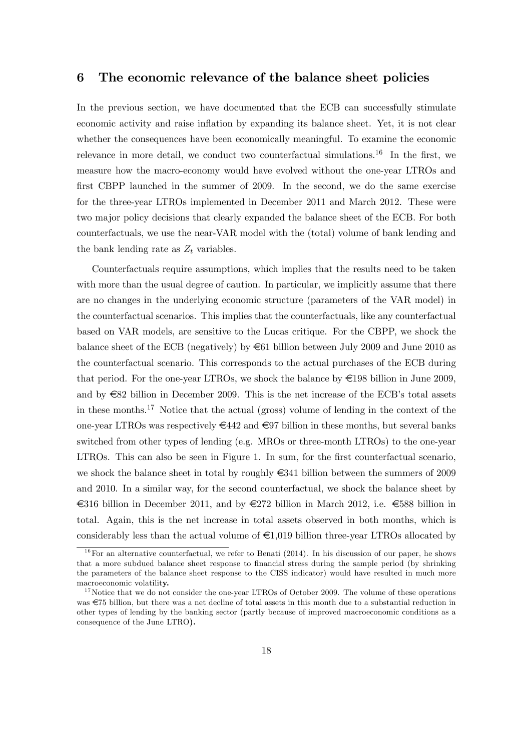## 6 The economic relevance of the balance sheet policies

In the previous section, we have documented that the ECB can successfully stimulate economic activity and raise inflation by expanding its balance sheet. Yet, it is not clear whether the consequences have been economically meaningful. To examine the economic relevance in more detail, we conduct two counterfactual simulations.<sup>16</sup> In the first, we measure how the macro-economy would have evolved without the one-year LTROs and first CBPP launched in the summer of 2009. In the second, we do the same exercise for the three-year LTROs implemented in December 2011 and March 2012. These were two major policy decisions that clearly expanded the balance sheet of the ECB. For both counterfactuals, we use the near-VAR model with the (total) volume of bank lending and the bank lending rate as  $Z_t$  variables.

Counterfactuals require assumptions, which implies that the results need to be taken with more than the usual degree of caution. In particular, we implicitly assume that there are no changes in the underlying economic structure (parameters of the VAR model) in the counterfactual scenarios. This implies that the counterfactuals, like any counterfactual based on VAR models, are sensitive to the Lucas critique. For the CBPP, we shock the balance sheet of the ECB (negatively) by €61 billion between July 2009 and June 2010 as the counterfactual scenario. This corresponds to the actual purchases of the ECB during that period. For the one-year LTROs, we shock the balance by  $\epsilon$ 198 billion in June 2009, and by  $\epsilon$ 82 billion in December 2009. This is the net increase of the ECB's total assets in these months.<sup>17</sup> Notice that the actual (gross) volume of lending in the context of the one-year LTROs was respectively  $\in 442$  and  $\in$ 97 billion in these months, but several banks switched from other types of lending (e.g. MROs or three-month LTROs) to the one-year LTROs. This can also be seen in Figure 1. In sum, for the first counterfactual scenario, we shock the balance sheet in total by roughly  $\epsilon$ 341 billion between the summers of 2009 and 2010. In a similar way, for the second counterfactual, we shock the balance sheet by €316 billion in December 2011, and by €272 billion in March 2012, i.e. €588 billion in total. Again, this is the net increase in total assets observed in both months, which is considerably less than the actual volume of  $\epsilon 1,019$  billion three-year LTROs allocated by

 $16$  For an alternative counterfactual, we refer to Benati (2014). In his discussion of our paper, he shows that a more subdued balance sheet response to financial stress during the sample period (by shrinking the parameters of the balance sheet response to the CISS indicator) would have resulted in much more macroeconomic volatility.

 $17$  Notice that we do not consider the one-year LTROs of October 2009. The volume of these operations was €75 billion, but there was a net decline of total assets in this month due to a substantial reduction in other types of lending by the banking sector (partly because of improved macroeconomic conditions as a consequence of the June LTRO).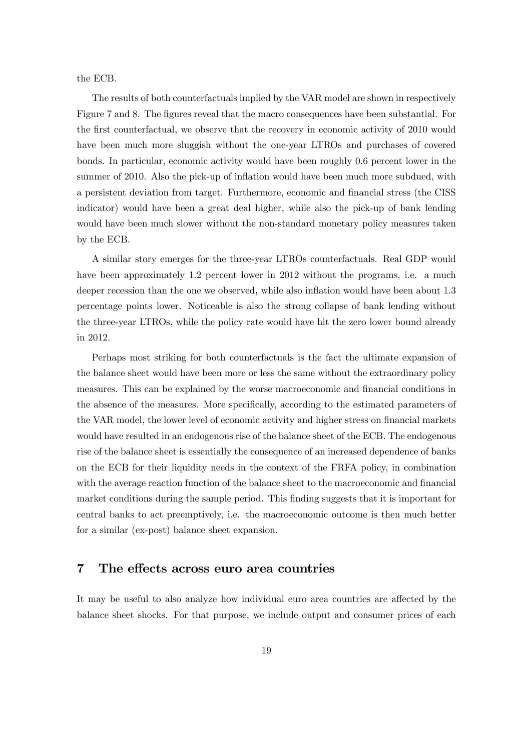the ECB.

The results of both counterfactuals implied by the VAR model are shown in respectively Figure 7 and 8. The figures reveal that the macro consequences have been substantial. For the first counterfactual, we observe that the recovery in economic activity of 2010 would have been much more sluggish without the one-year LTROs and purchases of covered bonds. In particular, economic activity would have been roughly 0.6 percent lower in the summer of 2010. Also the pick-up of inflation would have been much more subdued, with a persistent deviation from target. Furthermore, economic and financial stress (the CISS indicator) would have been a great deal higher, while also the pick-up of bank lending would have been much slower without the non-standard monetary policy measures taken by the ECB.

A similar story emerges for the three-year LTROs counterfactuals. Real GDP would have been approximately 1.2 percent lower in 2012 without the programs, i.e. a much deeper recession than the one we observed, while also inflation would have been about 1.3 percentage points lower. Noticeable is also the strong collapse of bank lending without the three-year LTROs, while the policy rate would have hit the zero lower bound already in 2012.

Perhaps most striking for both counterfactuals is the fact the ultimate expansion of the balance sheet would have been more or less the same without the extraordinary policy measures. This can be explained by the worse macroeconomic and financial conditions in the absence of the measures. More specifically, according to the estimated parameters of the VAR model, the lower level of economic activity and higher stress on financial markets would have resulted in an endogenous rise of the balance sheet of the ECB. The endogenous rise of the balance sheet is essentially the consequence of an increased dependence of banks on the ECB for their liquidity needs in the context of the FRFA policy, in combination with the average reaction function of the balance sheet to the macroeconomic and financial market conditions during the sample period. This finding suggests that it is important for central banks to act preemptively, i.e. the macroeconomic outcome is then much better for a similar (ex-post) balance sheet expansion.

## 7 The effects across euro area countries

It may be useful to also analyze how individual euro area countries are affected by the balance sheet shocks. For that purpose, we include output and consumer prices of each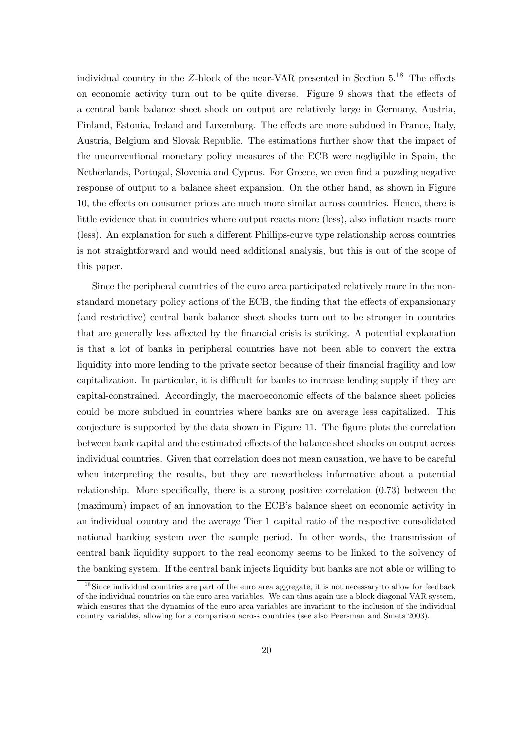individual country in the Z-block of the near-VAR presented in Section 5.18 The effects on economic activity turn out to be quite diverse. Figure 9 shows that the effects of a central bank balance sheet shock on output are relatively large in Germany, Austria, Finland, Estonia, Ireland and Luxemburg. The effects are more subdued in France, Italy, Austria, Belgium and Slovak Republic. The estimations further show that the impact of the unconventional monetary policy measures of the ECB were negligible in Spain, the Netherlands, Portugal, Slovenia and Cyprus. For Greece, we even find a puzzling negative response of output to a balance sheet expansion. On the other hand, as shown in Figure 10, the effects on consumer prices are much more similar across countries. Hence, there is little evidence that in countries where output reacts more (less), also inflation reacts more (less). An explanation for such a different Phillips-curve type relationship across countries is not straightforward and would need additional analysis, but this is out of the scope of this paper.

Since the peripheral countries of the euro area participated relatively more in the nonstandard monetary policy actions of the ECB, the finding that the effects of expansionary (and restrictive) central bank balance sheet shocks turn out to be stronger in countries that are generally less affected by the financial crisis is striking. A potential explanation is that a lot of banks in peripheral countries have not been able to convert the extra liquidity into more lending to the private sector because of their financial fragility and low capitalization. In particular, it is difficult for banks to increase lending supply if they are capital-constrained. Accordingly, the macroeconomic effects of the balance sheet policies could be more subdued in countries where banks are on average less capitalized. This conjecture is supported by the data shown in Figure 11. The figure plots the correlation between bank capital and the estimated effects of the balance sheet shocks on output across individual countries. Given that correlation does not mean causation, we have to be careful when interpreting the results, but they are nevertheless informative about a potential relationship. More specifically, there is a strong positive correlation (0.73) between the (maximum) impact of an innovation to the ECB's balance sheet on economic activity in an individual country and the average Tier 1 capital ratio of the respective consolidated national banking system over the sample period. In other words, the transmission of central bank liquidity support to the real economy seems to be linked to the solvency of the banking system. If the central bank injects liquidity but banks are not able or willing to

<sup>&</sup>lt;sup>18</sup>Since individual countries are part of the euro area aggregate, it is not necessary to allow for feedback of the individual countries on the euro area variables. We can thus again use a block diagonal VAR system, which ensures that the dynamics of the euro area variables are invariant to the inclusion of the individual country variables, allowing for a comparison across countries (see also Peersman and Smets 2003).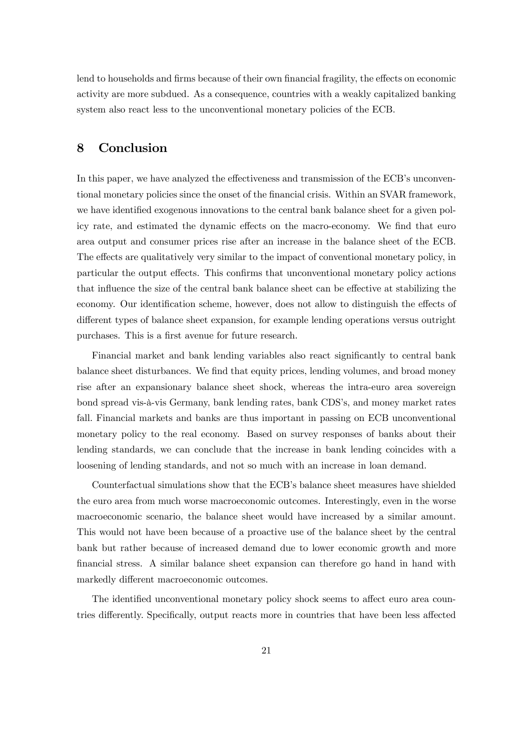lend to households and firms because of their own financial fragility, the effects on economic activity are more subdued. As a consequence, countries with a weakly capitalized banking system also react less to the unconventional monetary policies of the ECB.

## 8 Conclusion

In this paper, we have analyzed the effectiveness and transmission of the ECB's unconventional monetary policies since the onset of the financial crisis. Within an SVAR framework, we have identified exogenous innovations to the central bank balance sheet for a given policy rate, and estimated the dynamic effects on the macro-economy. We find that euro area output and consumer prices rise after an increase in the balance sheet of the ECB. The effects are qualitatively very similar to the impact of conventional monetary policy, in particular the output effects. This confirms that unconventional monetary policy actions that influence the size of the central bank balance sheet can be effective at stabilizing the economy. Our identification scheme, however, does not allow to distinguish the effects of different types of balance sheet expansion, for example lending operations versus outright purchases. This is a first avenue for future research.

Financial market and bank lending variables also react significantly to central bank balance sheet disturbances. We find that equity prices, lending volumes, and broad money rise after an expansionary balance sheet shock, whereas the intra-euro area sovereign bond spread vis-à-vis Germany, bank lending rates, bank CDS's, and money market rates fall. Financial markets and banks are thus important in passing on ECB unconventional monetary policy to the real economy. Based on survey responses of banks about their lending standards, we can conclude that the increase in bank lending coincides with a loosening of lending standards, and not so much with an increase in loan demand.

Counterfactual simulations show that the ECB's balance sheet measures have shielded the euro area from much worse macroeconomic outcomes. Interestingly, even in the worse macroeconomic scenario, the balance sheet would have increased by a similar amount. This would not have been because of a proactive use of the balance sheet by the central bank but rather because of increased demand due to lower economic growth and more financial stress. A similar balance sheet expansion can therefore go hand in hand with markedly different macroeconomic outcomes.

The identified unconventional monetary policy shock seems to affect euro area countries differently. Specifically, output reacts more in countries that have been less affected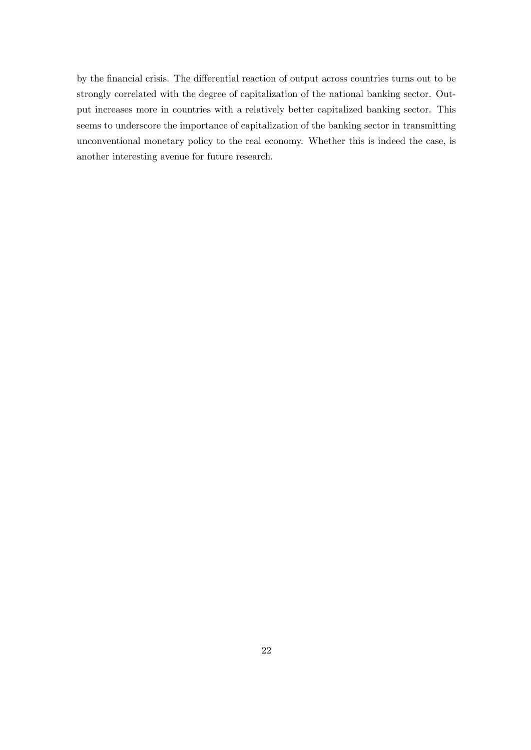by the financial crisis. The differential reaction of output across countries turns out to be strongly correlated with the degree of capitalization of the national banking sector. Output increases more in countries with a relatively better capitalized banking sector. This seems to underscore the importance of capitalization of the banking sector in transmitting unconventional monetary policy to the real economy. Whether this is indeed the case, is another interesting avenue for future research.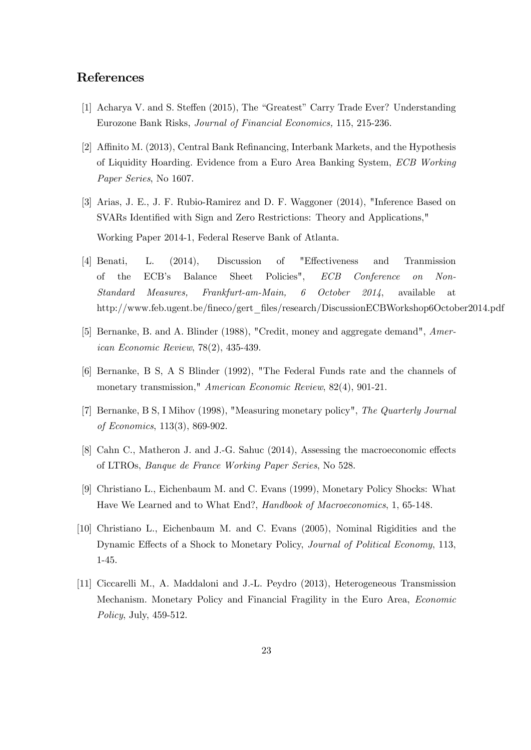# References

- [1] Acharya V. and S. Steffen (2015), The "Greatest" Carry Trade Ever? Understanding Eurozone Bank Risks, Journal of Financial Economics, 115, 215-236.
- [2] Affinito M. (2013), Central Bank Refinancing, Interbank Markets, and the Hypothesis of Liquidity Hoarding. Evidence from a Euro Area Banking System, ECB Working Paper Series, No 1607.
- [3] Arias, J. E., J. F. Rubio-Ramirez and D. F. Waggoner (2014), "Inference Based on SVARs Identified with Sign and Zero Restrictions: Theory and Applications," Working Paper 2014-1, Federal Reserve Bank of Atlanta.
- [4] Benati, L. (2014), Discussion of "Effectiveness and Tranmission of the ECB's Balance Sheet Policies", ECB Conference on Non-Standard Measures, Frankfurt-am-Main, 6 October 2014, available at http://www.feb.ugent.be/fineco/gert\_files/research/DiscussionECBWorkshop6October2014.pdf
- [5] Bernanke, B. and A. Blinder (1988), "Credit, money and aggregate demand", American Economic Review, 78(2), 435-439.
- [6] Bernanke, B S, A S Blinder (1992), "The Federal Funds rate and the channels of monetary transmission," American Economic Review, 82(4), 901-21.
- [7] Bernanke, B S, I Mihov (1998), "Measuring monetary policy", The Quarterly Journal of Economics, 113(3), 869-902.
- [8] Cahn C., Matheron J. and J.-G. Sahuc (2014), Assessing the macroeconomic effects of LTROs, Banque de France Working Paper Series, No 528.
- [9] Christiano L., Eichenbaum M. and C. Evans (1999), Monetary Policy Shocks: What Have We Learned and to What End?, Handbook of Macroeconomics, 1, 65-148.
- [10] Christiano L., Eichenbaum M. and C. Evans (2005), Nominal Rigidities and the Dynamic Effects of a Shock to Monetary Policy, *Journal of Political Economy*, 113, 1-45.
- [11] Ciccarelli M., A. Maddaloni and J.-L. Peydro (2013), Heterogeneous Transmission Mechanism. Monetary Policy and Financial Fragility in the Euro Area, Economic Policy, July, 459-512.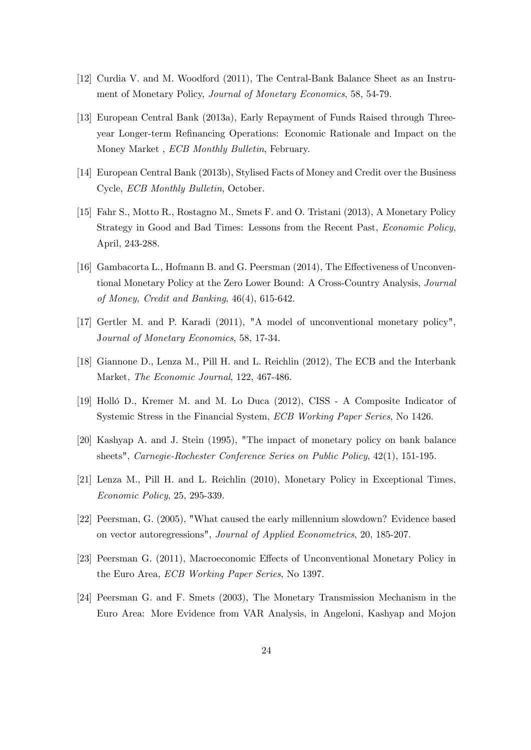- [12] Curdia V. and M. Woodford (2011), The Central-Bank Balance Sheet as an Instrument of Monetary Policy, Journal of Monetary Economics, 58, 54-79.
- [13] European Central Bank (2013a), Early Repayment of Funds Raised through Threeyear Longer-term Refinancing Operations: Economic Rationale and Impact on the Money Market , ECB Monthly Bulletin, February.
- [14] European Central Bank (2013b), Stylised Facts of Money and Credit over the Business Cycle, ECB Monthly Bulletin, October.
- [15] Fahr S., Motto R., Rostagno M., Smets F. and O. Tristani (2013), A Monetary Policy Strategy in Good and Bad Times: Lessons from the Recent Past, Economic Policy, April, 243-288.
- [16] Gambacorta L., Hofmann B. and G. Peersman (2014), The Effectiveness of Unconventional Monetary Policy at the Zero Lower Bound: A Cross-Country Analysis, Journal of Money, Credit and Banking, 46(4), 615-642.
- [17] Gertler M. and P. Karadi (2011), "A model of unconventional monetary policy", Journal of Monetary Economics, 58, 17-34.
- [18] Giannone D., Lenza M., Pill H. and L. Reichlin (2012), The ECB and the Interbank Market, The Economic Journal, 122, 467-486.
- [19] Holló D., Kremer M. and M. Lo Duca (2012), CISS A Composite Indicator of Systemic Stress in the Financial System, ECB Working Paper Series, No 1426.
- [20] Kashyap A. and J. Stein (1995), "The impact of monetary policy on bank balance sheets", Carnegie-Rochester Conference Series on Public Policy, 42(1), 151-195.
- [21] Lenza M., Pill H. and L. Reichlin (2010), Monetary Policy in Exceptional Times, Economic Policy, 25, 295-339.
- [22] Peersman, G. (2005), "What caused the early millennium slowdown? Evidence based on vector autoregressions", Journal of Applied Econometrics, 20, 185-207.
- [23] Peersman G. (2011), Macroeconomic Effects of Unconventional Monetary Policy in the Euro Area, ECB Working Paper Series, No 1397.
- [24] Peersman G. and F. Smets (2003), The Monetary Transmission Mechanism in the Euro Area: More Evidence from VAR Analysis, in Angeloni, Kashyap and Mojon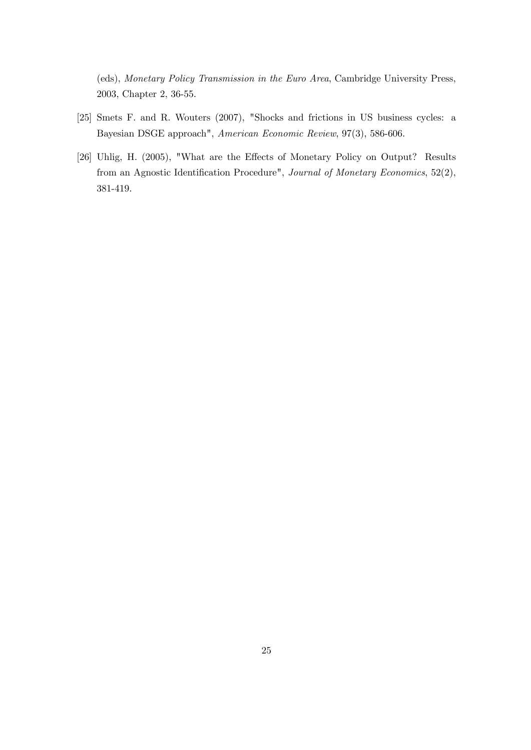(eds), Monetary Policy Transmission in the Euro Area, Cambridge University Press, 2003, Chapter 2, 36-55.

- [25] Smets F. and R. Wouters (2007), "Shocks and frictions in US business cycles: a Bayesian DSGE approach", American Economic Review, 97(3), 586-606.
- [26] Uhlig, H. (2005), "What are the Effects of Monetary Policy on Output? Results from an Agnostic Identification Procedure", Journal of Monetary Economics, 52(2), 381-419.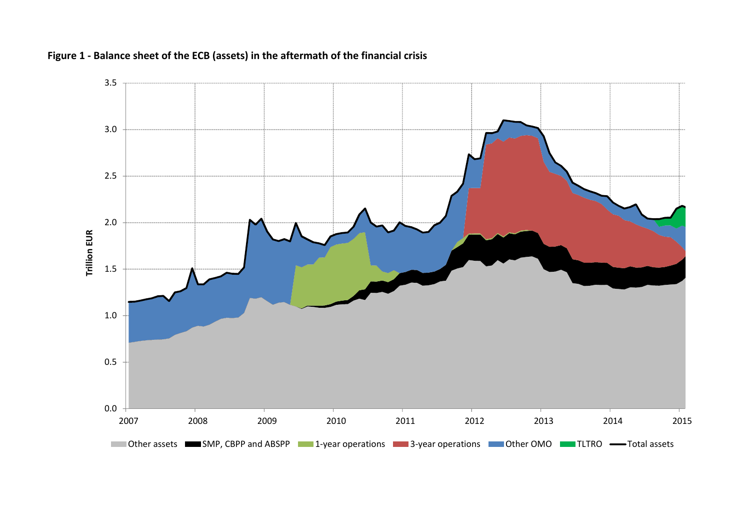

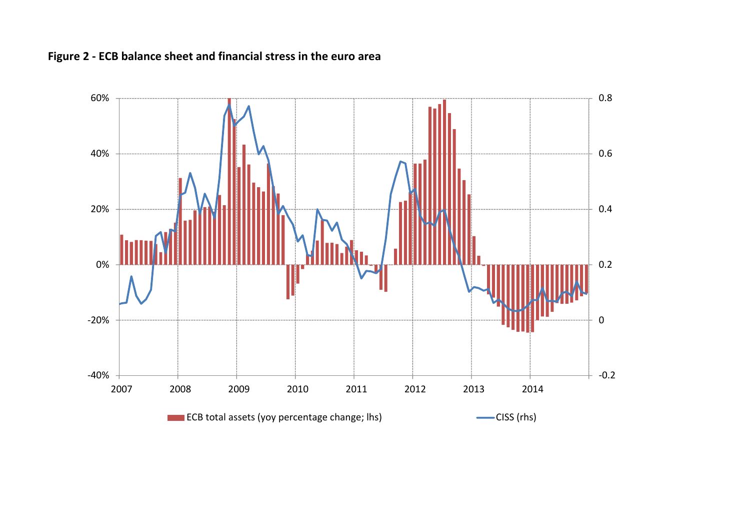

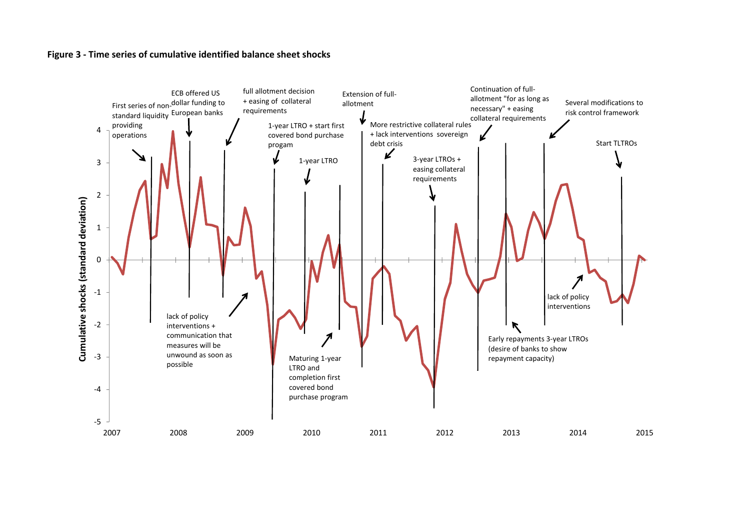## **Figure 3 ‐ Time series of cumulative identified balance sheet shocks**

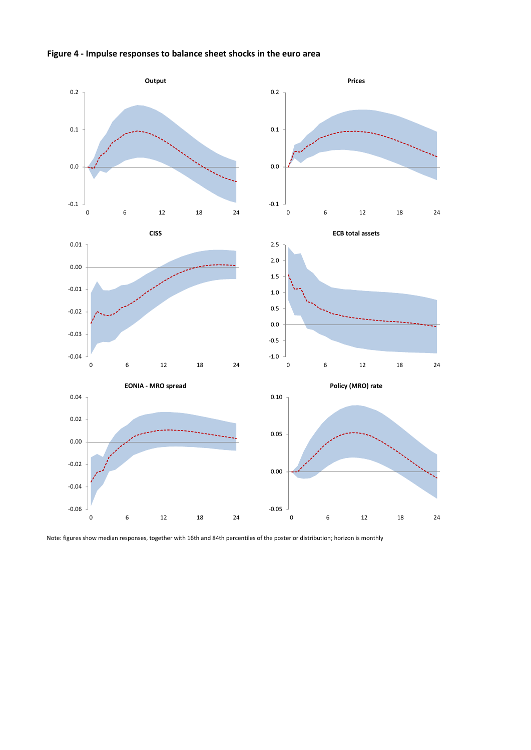



Note: figures show median responses, together with 16th and 84th percentiles of the posterior distribution; horizon is monthly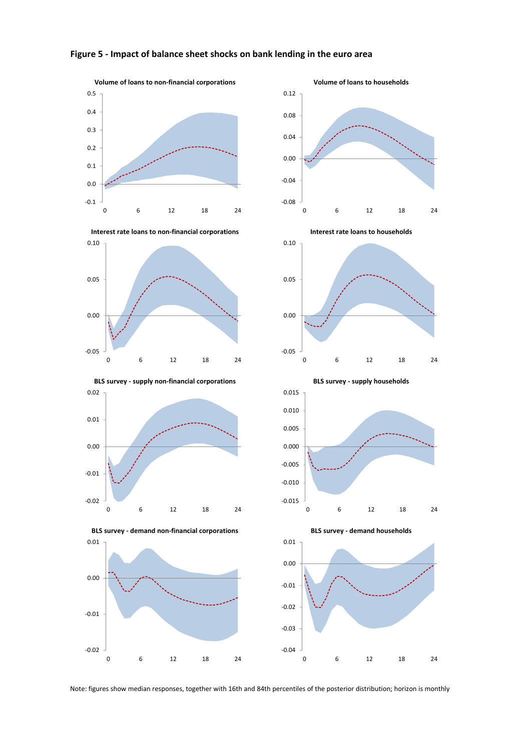

## **Figure 5 ‐ Impact of balance sheet shocks on bank lending in the euro area**

‐0.08 ‐0.04 0.00 0.04 0.08 0.12 0 6 12 18 24



**BLS survey ‐ supply non‐financial corporations BLS survey ‐ supply households**













Note: figures show median responses, together with 16th and 84th percentiles of the posterior distribution; horizon is monthly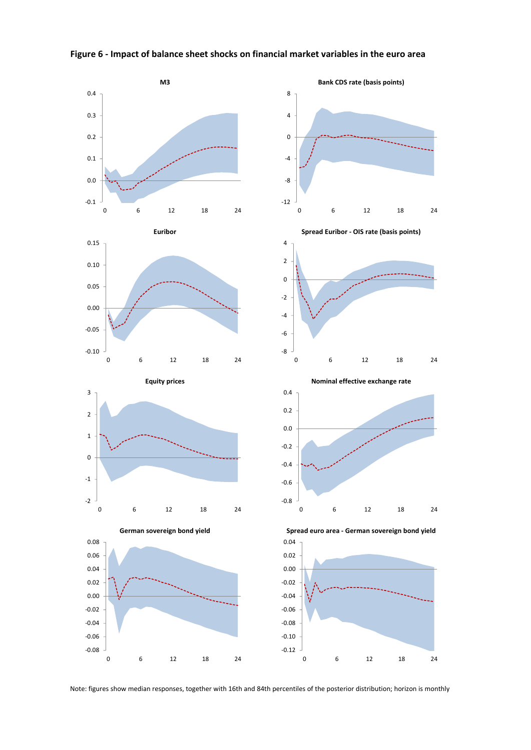

### **Figure 6 ‐ Impact of balance sheet shocks on financial market variables in the euro area**

Note: figures show median responses, together with 16th and 84th percentiles of the posterior distribution; horizon is monthly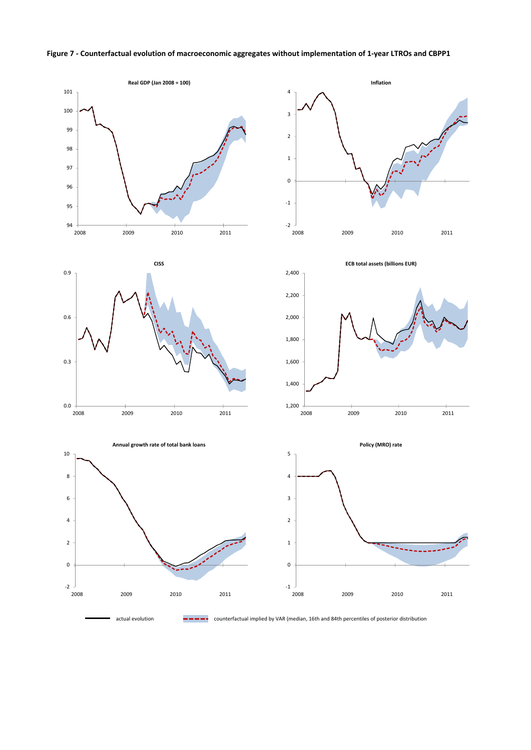### Figure 7 - Counterfactual evolution of macroeconomic aggregates without implementation of 1-year LTROs and CBPP1





actual evolution counterfactual implied by VAR (median, 16th and 84th percentiles of posterior distribution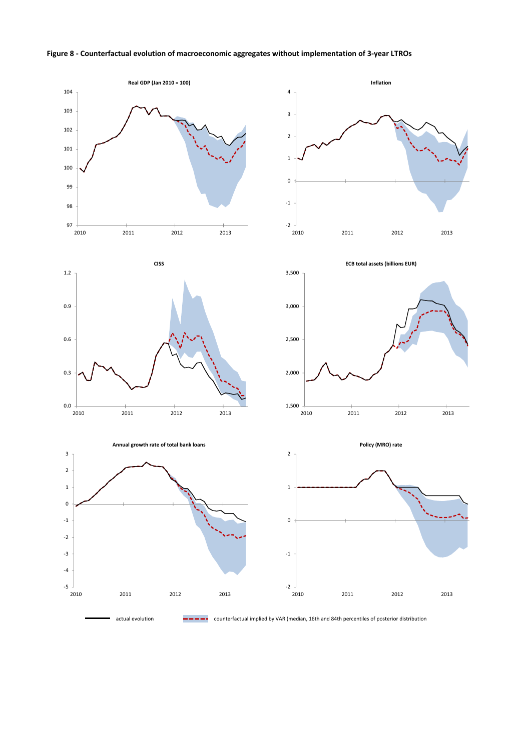





actual evolution counterfactual implied by VAR (median, 16th and 84th percentiles of posterior distribution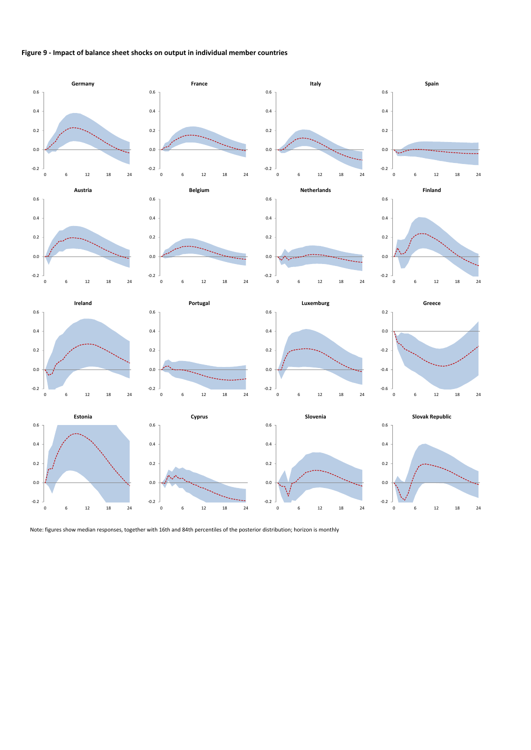#### **Figure 9 ‐ Impact of balance sheet shocks on output in individual member countries**



Note: figures show median responses, together with 16th and 84th percentiles of the posterior distribution; horizon is monthly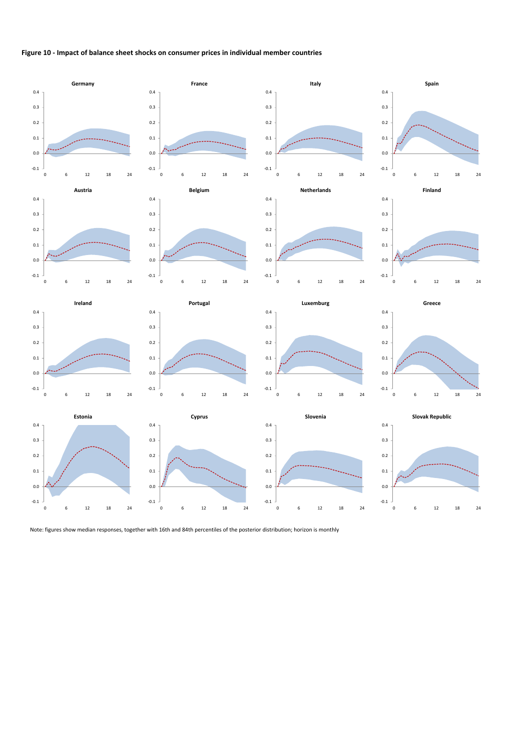#### **Figure 10 ‐ Impact of balance sheet shocks on consumer prices in individual member countries**



Note: figures show median responses, together with 16th and 84th percentiles of the posterior distribution; horizon is monthly